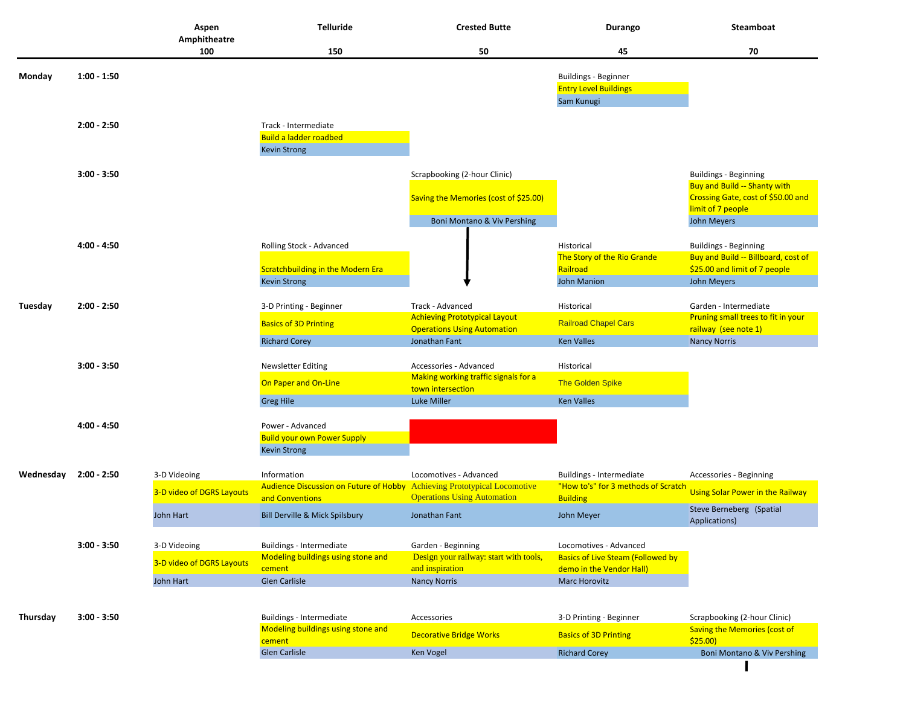|           |               | Aspen<br>Amphitheatre     | <b>Telluride</b>                                                         | <b>Crested Butte</b>                                                       | Durango                                  | Steamboat                                                  |
|-----------|---------------|---------------------------|--------------------------------------------------------------------------|----------------------------------------------------------------------------|------------------------------------------|------------------------------------------------------------|
|           |               | 100                       | 150                                                                      | 50                                                                         | 45                                       | 70                                                         |
| Monday    | $1:00 - 1:50$ |                           |                                                                          |                                                                            | <b>Buildings - Beginner</b>              |                                                            |
|           |               |                           |                                                                          |                                                                            | <b>Entry Level Buildings</b>             |                                                            |
|           |               |                           |                                                                          |                                                                            | Sam Kunugi                               |                                                            |
|           | $2:00 - 2:50$ |                           | Track - Intermediate                                                     |                                                                            |                                          |                                                            |
|           |               |                           | <b>Build a ladder roadbed</b>                                            |                                                                            |                                          |                                                            |
|           |               |                           | <b>Kevin Strong</b>                                                      |                                                                            |                                          |                                                            |
|           | $3:00 - 3:50$ |                           |                                                                          | Scrapbooking (2-hour Clinic)                                               |                                          | <b>Buildings - Beginning</b>                               |
|           |               |                           |                                                                          |                                                                            |                                          | <b>Buy and Build -- Shanty with</b>                        |
|           |               |                           |                                                                          | Saving the Memories (cost of \$25.00)                                      |                                          | Crossing Gate, cost of \$50.00 and                         |
|           |               |                           |                                                                          | Boni Montano & Viv Pershing                                                |                                          | limit of 7 people<br>John Meyers                           |
|           |               |                           |                                                                          |                                                                            |                                          |                                                            |
|           | $4:00 - 4:50$ |                           | Rolling Stock - Advanced                                                 |                                                                            | Historical                               | <b>Buildings - Beginning</b>                               |
|           |               |                           |                                                                          |                                                                            | The Story of the Rio Grande              | Buy and Build -- Billboard, cost of                        |
|           |               |                           | <b>Scratchbuilding in the Modern Era</b>                                 |                                                                            | Railroad                                 | \$25.00 and limit of 7 people                              |
|           |               |                           | <b>Kevin Strong</b>                                                      |                                                                            | <b>John Manion</b>                       | John Meyers                                                |
| Tuesday   | $2:00 - 2:50$ |                           | 3-D Printing - Beginner                                                  | Track - Advanced                                                           | Historical                               | Garden - Intermediate                                      |
|           |               |                           | <b>Basics of 3D Printing</b>                                             | <b>Achieving Prototypical Layout</b><br><b>Operations Using Automation</b> | <b>Railroad Chapel Cars</b>              | Pruning small trees to fit in your<br>railway (see note 1) |
|           |               |                           | <b>Richard Corey</b>                                                     | Jonathan Fant                                                              | <b>Ken Valles</b>                        | <b>Nancy Norris</b>                                        |
|           | $3:00 - 3:50$ |                           | <b>Newsletter Editing</b>                                                | Accessories - Advanced                                                     | Historical                               |                                                            |
|           |               |                           | On Paper and On-Line                                                     | Making working traffic signals for a                                       | The Golden Spike                         |                                                            |
|           |               |                           |                                                                          | town intersection                                                          |                                          |                                                            |
|           |               |                           | <b>Greg Hile</b>                                                         | Luke Miller                                                                | <b>Ken Valles</b>                        |                                                            |
|           | $4:00 - 4:50$ |                           | Power - Advanced                                                         |                                                                            |                                          |                                                            |
|           |               |                           | <b>Build your own Power Supply</b>                                       |                                                                            |                                          |                                                            |
|           |               |                           | <b>Kevin Strong</b>                                                      |                                                                            |                                          |                                                            |
| Wednesday | 2:00 - 2:50   | 3-D Videoing              | Information                                                              | Locomotives - Advanced                                                     | Buildings - Intermediate                 | Accessories - Beginning                                    |
|           |               | 3-D video of DGRS Layouts | Audience Discussion on Future of Hobby Achieving Prototypical Locomotive |                                                                            | "How to's" for 3 methods of Scratch      | <b>Using Solar Power in the Railway</b>                    |
|           |               |                           | and Conventions                                                          | <b>Operations Using Automation</b>                                         | <b>Building</b>                          | Steve Berneberg (Spatial                                   |
|           |               | John Hart                 | Bill Derville & Mick Spilsbury                                           | Jonathan Fant                                                              | John Meyer                               | Applications)                                              |
|           | $3:00 - 3:50$ | 3-D Videoing              | Buildings - Intermediate                                                 | Garden - Beginning                                                         | Locomotives - Advanced                   |                                                            |
|           |               |                           | Modeling buildings using stone and                                       | Design your railway: start with tools,                                     | <b>Basics of Live Steam (Followed by</b> |                                                            |
|           |               | 3-D video of DGRS Layouts | cement                                                                   | and inspiration                                                            | demo in the Vendor Hall)                 |                                                            |
|           |               | John Hart                 | Glen Carlisle                                                            | <b>Nancy Norris</b>                                                        | <b>Marc Horovitz</b>                     |                                                            |
|           |               |                           |                                                                          |                                                                            |                                          |                                                            |
| Thursday  | $3:00 - 3:50$ |                           | Buildings - Intermediate                                                 | Accessories                                                                | 3-D Printing - Beginner                  | Scrapbooking (2-hour Clinic)                               |
|           |               |                           | Modeling buildings using stone and<br>cement                             | <b>Decorative Bridge Works</b>                                             | <b>Basics of 3D Printing</b>             | <b>Saving the Memories (cost of</b><br>\$25.00             |
|           |               |                           | <b>Glen Carlisle</b>                                                     | Ken Vogel                                                                  | <b>Richard Corey</b>                     | Boni Montano & Viv Pershing                                |
|           |               |                           |                                                                          |                                                                            |                                          |                                                            |